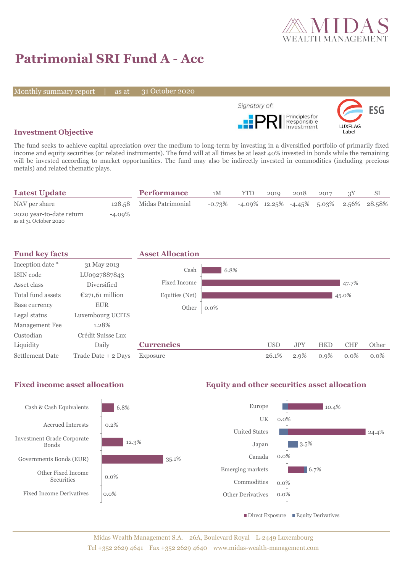

# **Patrimonial SRI Fund A - Acc**

Monthly summary report | as at

31 October 2020



## **Investment Objective**

The fund seeks to achieve capital apreciation over the medium to long-term by investing in a diversified portfolio of primarily fixed income and equity securities (or related instruments). The fund will at all times be at least 40% invested in bonds while the remaining will be invested according to market opportunities. The fund may also be indirectly invested in commodities (including precious metals) and related thematic plays.

| <b>Latest Update</b>                              |           | <b>Performance</b>       | 1M        | YTD. | 2019 | 2018 | 2017 |                                               |
|---------------------------------------------------|-----------|--------------------------|-----------|------|------|------|------|-----------------------------------------------|
| NAV per share                                     |           | 128.58 Midas Patrimonial | $-0.73\%$ |      |      |      |      | $-4.09\%$ 12.25% $-4.45\%$ 5.03% 2.56% 28.58% |
| 2020 year-to-date return<br>as at 31 October 2020 | $-4.09\%$ |                          |           |      |      |      |      |                                               |



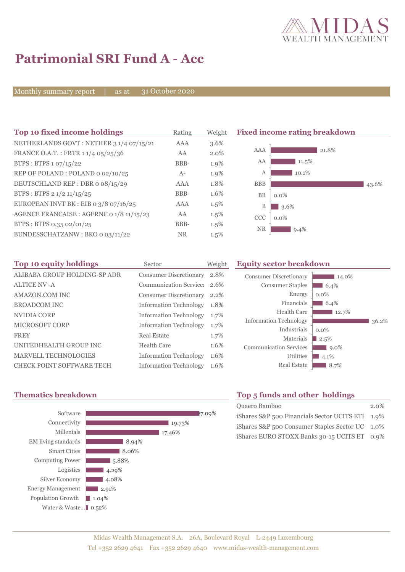

# **Patrimonial SRI Fund A - Acc**

Monthly summary report | as at

31 October 2020

| Top 10 fixed income holdings             | Rating     | Weight  | <b>Fixed income rating breakdown</b> |  |
|------------------------------------------|------------|---------|--------------------------------------|--|
| NETHERLANDS GOVT: NETHER 3 1/4 07/15/21  | <b>AAA</b> | 3.6%    |                                      |  |
| FRANCE O.A.T.: FRTR 1 1/4 05/25/36       | AA         | $2.0\%$ | AAA<br>21.8%                         |  |
| BTPS : BTPS $1.07/15/22$                 | BBB-       | 1.9%    | AA<br>11.5%                          |  |
| REP OF POLAND: POLAND 0 02/10/25         | $A-$       | 1.9%    | 10.1%<br>A                           |  |
| DEUTSCHLAND REP : DBR 0 08/15/29         | <b>AAA</b> | 1.8%    | <b>BBB</b><br>43.6%                  |  |
| BTPS : BTPS 2 $1/2$ 11/15/25             | BBB-       | 1.6%    | <b>BB</b><br>$0.0\%$                 |  |
| EUROPEAN INVT BK : EIB o $3/8$ o7/16/25  | <b>AAA</b> | 1.5%    | B<br>3.6%                            |  |
| AGENCE FRANCAISE : AGFRNC 0 1/8 11/15/23 | AA         | $1.5\%$ | <b>CCC</b><br>$0.0\%$                |  |
| BTPS: BTPS 0.35 02/01/25                 | BBB-       | $1.5\%$ | <b>NR</b>                            |  |
| BUNDESSCHATZANW: BKO 0 03/11/22          | <b>NR</b>  | $1.5\%$ | $9.4\%$                              |  |

| Top 10 equity holdings           | Sector                        | Weight | <b>Equity sector breakdown</b> |                     |       |  |  |
|----------------------------------|-------------------------------|--------|--------------------------------|---------------------|-------|--|--|
| ALIBABA GROUP HOLDING-SP ADR     | <b>Consumer Discretionary</b> | 2.8%   | Consumer Discretionary         | 14.0%               |       |  |  |
| <b>ALTICE NV -A</b>              | Communication Service: 2.6%   |        | <b>Consumer Staples</b>        | $6.4\%$             |       |  |  |
| AMAZON.COM INC                   | Consumer Discretionary 2.2%   |        | Energy                         | $0.0\%$             |       |  |  |
| <b>BROADCOM INC</b>              | <b>Information Technology</b> | 1.8%   | Financials                     | $6.4\%$             |       |  |  |
| NVIDIA CORP                      | <b>Information Technology</b> | 1.7%   | <b>Health Care</b>             | $12.7\%$            |       |  |  |
| <b>MICROSOFT CORP</b>            | <b>Information Technology</b> | 1.7%   | <b>Information Technology</b>  |                     | 36.2% |  |  |
| <b>FREY</b>                      | <b>Real Estate</b>            | 1.7%   | Industrials                    | $0.0\%$             |       |  |  |
| UNITEDHEALTH GROUP INC           | <b>Health Care</b>            | 1.6%   | Materials                      | 2.5%                |       |  |  |
| MARVELL TECHNOLOGIES             |                               |        | <b>Communication Services</b>  | $9.0\%$             |       |  |  |
|                                  | <b>Information Technology</b> | 1.6%   | Utilities                      | $4.1\%$             |       |  |  |
| <b>CHECK POINT SOFTWARE TECH</b> | <b>Information Technology</b> | 1.6%   | <b>Real Estate</b>             | $\blacksquare$ 8.7% |       |  |  |



## **Thematics breakdown Top 5 funds and other holdings**

| Quaero Bamboo                                    | $2.0\%$ |
|--------------------------------------------------|---------|
| iShares S&P 500 Financials Sector UCITS ETI 1.9% |         |
| iShares S&P 500 Consumer Staples Sector UC 1.0%  |         |
| iShares EURO STOXX Banks 30-15 UCITS ET 0.9%     |         |